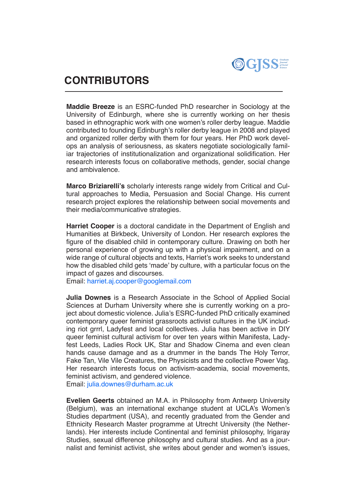

## **CONTRIBUTORS**

**Maddie Breeze** is an ESRC-funded PhD researcher in Sociology at the University of Edinburgh, where she is currently working on her thesis based in ethnographic work with one women's roller derby league. Maddie contributed to founding Edinburgh's roller derby league in 2008 and played and organized roller derby with them for four years. Her PhD work develops an analysis of seriousness, as skaters negotiate sociologically familiar trajectories of institutionalization and organizational solidification. Her research interests focus on collaborative methods, gender, social change and ambivalence.

**Marco Briziarelli's** scholarly interests range widely from Critical and Cultural approaches to Media, Persuasion and Social Change. His current research project explores the relationship between social movements and their media/communicative strategies.

**Harriet Cooper** is a doctoral candidate in the Department of English and Humanities at Birkbeck, University of London. Her research explores the figure of the disabled child in contemporary culture. Drawing on both her personal experience of growing up with a physical impairment, and on a wide range of cultural objects and texts, Harriet's work seeks to understand how the disabled child gets 'made' by culture, with a particular focus on the impact of gazes and discourses.

Email: [harriet.aj.cooper@googlemail.com](mailto:harriet.aj.cooper%40googlemail.com?subject=)

**Julia Downes** is a Research Associate in the School of Applied Social Sciences at Durham University where she is currently working on a project about domestic violence. Julia's ESRC-funded PhD critically examined contemporary queer feminist grassroots activist cultures in the UK including riot grrrl, Ladyfest and local collectives. Julia has been active in DIY queer feminist cultural activism for over ten years within Manifesta, Ladyfest Leeds, Ladies Rock UK, Star and Shadow Cinema and even clean hands cause damage and as a drummer in the bands The Holy Terror, Fake Tan, Vile Vile Creatures, the Physicists and the collective Power Vag. Her research interests focus on activism-academia, social movements, feminist activism, and gendered violence.

Email: [julia.downes@durham.ac.uk](mailto:julia.downes%40durham.ac.uk?subject=)

**Evelien Geerts** obtained an M.A. in Philosophy from Antwerp University (Belgium), was an international exchange student at UCLA's Women's Studies department (USA), and recently graduated from the Gender and Ethnicity Research Master programme at Utrecht University (the Netherlands). Her interests include Continental and feminist philosophy, Irigaray Studies, sexual difference philosophy and cultural studies. And as a journalist and feminist activist, she writes about gender and women's issues,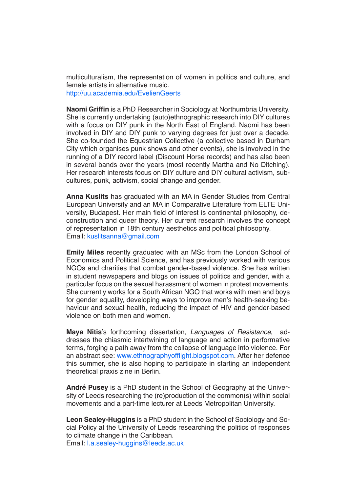multiculturalism, the representation of women in politics and culture, and female artists in alternative music. <http://uu.academia.edu/EvelienGeerts>

**Naomi Griffin** is a PhD Researcher in Sociology at Northumbria University. She is currently undertaking (auto)ethnographic research into DIY cultures with a focus on DIY punk in the North East of England. Naomi has been involved in DIY and DIY punk to varying degrees for just over a decade. She co-founded the Equestrian Collective (a collective based in Durham City which organises punk shows and other events), she is involved in the running of a DIY record label (Discount Horse records) and has also been in several bands over the years (most recently Martha and No Ditching). Her research interests focus on DIY culture and DIY cultural activism, subcultures, punk, activism, social change and gender.

**Anna Kuslits** has graduated with an MA in Gender Studies from Central European University and an MA in Comparative Literature from ELTE University, Budapest. Her main field of interest is continental philosophy, deconstruction and queer theory. Her current research involves the concept of representation in 18th century aesthetics and political philosophy. Email: [kuslitsanna@gmail.com](mailto:kuslitsanna%40gmail.com?subject=)

**Emily Miles** recently graduated with an MSc from the London School of Economics and Political Science, and has previously worked with various NGOs and charities that combat gender-based violence. She has written in student newspapers and blogs on issues of politics and gender, with a particular focus on the sexual harassment of women in protest movements. She currently works for a South African NGO that works with men and boys for gender equality, developing ways to improve men's health-seeking behaviour and sexual health, reducing the impact of HIV and gender-based violence on both men and women.

**Maya Nitis**'s forthcoming dissertation, *Languages of Resistance*, addresses the chiasmic intertwining of language and action in performative terms, forging a path away from the collapse of language into violence. For an abstract see: [www.ethnographyofflight.blogspot.com](http://www.ethnographyofflight.blogspot.com). After her defence this summer, she is also hoping to participate in starting an independent theoretical praxis zine in Berlin.

**André Pusey** is a PhD student in the School of Geography at the University of Leeds researching the (re)production of the common(s) within social movements and a part-time lecturer at Leeds Metropolitan University.

**Leon Sealey-Huggins** is a PhD student in the School of Sociology and Social Policy at the University of Leeds researching the politics of responses to climate change in the Caribbean.

Email: [l.a.sealey-huggins@leeds.ac.uk](mailto:l.a.sealey-huggins%40leeds.ac.uk%20?subject=)